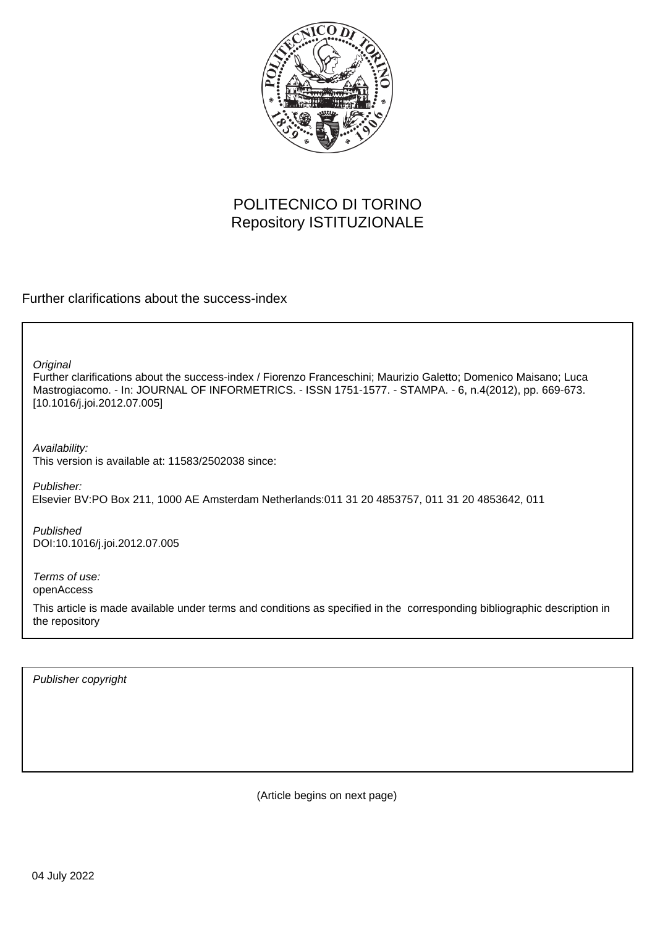

# POLITECNICO DI TORINO Repository ISTITUZIONALE

Further clarifications about the success-index

**Original** 

Further clarifications about the success-index / Fiorenzo Franceschini; Maurizio Galetto; Domenico Maisano; Luca Mastrogiacomo. - In: JOURNAL OF INFORMETRICS. - ISSN 1751-1577. - STAMPA. - 6, n.4(2012), pp. 669-673. [10.1016/j.joi.2012.07.005]

Availability: This version is available at: 11583/2502038 since:

Publisher: Elsevier BV:PO Box 211, 1000 AE Amsterdam Netherlands:011 31 20 4853757, 011 31 20 4853642, 011

Published DOI:10.1016/j.joi.2012.07.005

Terms of use: openAccess

This article is made available under terms and conditions as specified in the corresponding bibliographic description in the repository

Publisher copyright

(Article begins on next page)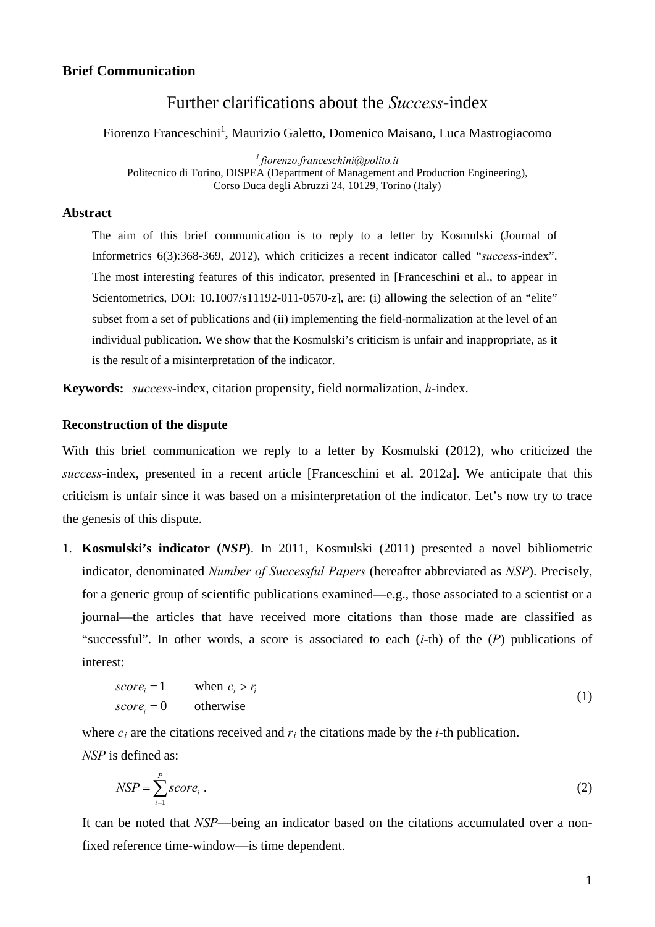#### **Brief Communication**

## Further clarifications about the *Success*-index

Fiorenzo Franceschini<sup>1</sup>, Maurizio Galetto, Domenico Maisano, Luca Mastrogiacomo

*1 fiorenzo.franceschini@polito.it*  Politecnico di Torino, DISPEA (Department of Management and Production Engineering), Corso Duca degli Abruzzi 24, 10129, Torino (Italy)

## **Abstract**

The aim of this brief communication is to reply to a letter by Kosmulski (Journal of Informetrics 6(3):368-369, 2012), which criticizes a recent indicator called "*success*-index". The most interesting features of this indicator, presented in [Franceschini et al., to appear in Scientometrics, DOI: 10.1007/s11192-011-0570-z], are: (i) allowing the selection of an "elite" subset from a set of publications and (ii) implementing the field-normalization at the level of an individual publication. We show that the Kosmulski's criticism is unfair and inappropriate, as it is the result of a misinterpretation of the indicator.

**Keywords:** *success*-index, citation propensity, field normalization, *h*-index.

#### **Reconstruction of the dispute**

With this brief communication we reply to a letter by Kosmulski (2012), who criticized the *success*-index, presented in a recent article [Franceschini et al. 2012a]. We anticipate that this criticism is unfair since it was based on a misinterpretation of the indicator. Let's now try to trace the genesis of this dispute.

1. **Kosmulski's indicator (***NSP***)**. In 2011, Kosmulski (2011) presented a novel bibliometric indicator, denominated *Number of Successful Papers* (hereafter abbreviated as *NSP*). Precisely, for a generic group of scientific publications examined—e.g., those associated to a scientist or a journal—the articles that have received more citations than those made are classified as "successful". In other words, a score is associated to each (*i*-th) of the (*P*) publications of interest:

$$
scorei = 1 \qquad when ci > ri
$$
  
\n
$$
scorei = 0 \qquad otherwise
$$
 (1)

where  $c_i$  are the citations received and  $r_i$  the citations made by the *i*-th publication. *NSP* is defined as:

$$
NSP = \sum_{i=1}^{P} score_i .
$$
 (2)

It can be noted that *NSP*—being an indicator based on the citations accumulated over a nonfixed reference time-window—is time dependent.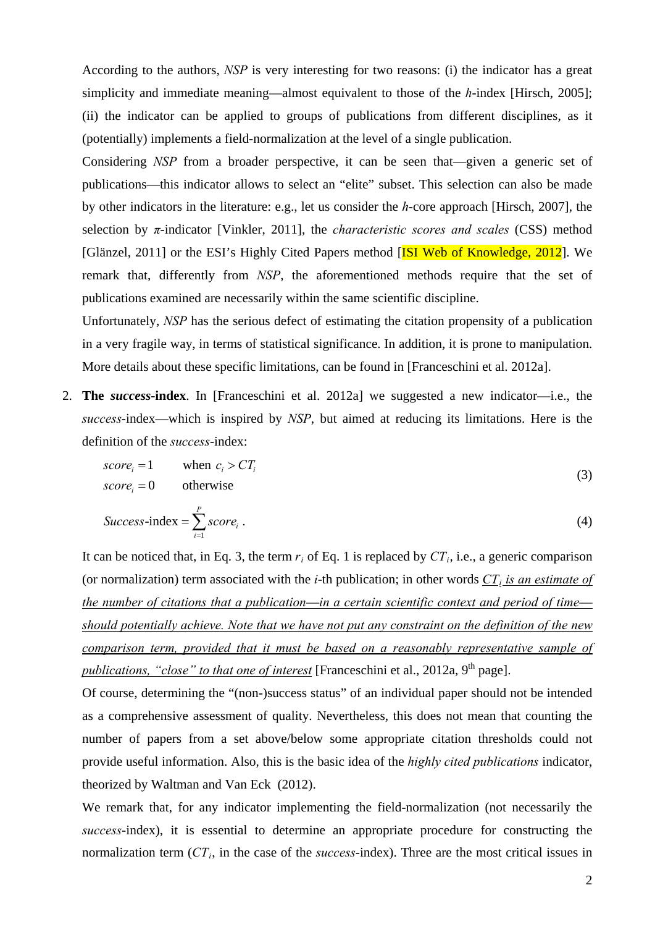According to the authors, *NSP* is very interesting for two reasons: (i) the indicator has a great simplicity and immediate meaning—almost equivalent to those of the *h*-index [Hirsch, 2005]; (ii) the indicator can be applied to groups of publications from different disciplines, as it (potentially) implements a field-normalization at the level of a single publication.

Considering *NSP* from a broader perspective, it can be seen that—given a generic set of publications—this indicator allows to select an "elite" subset. This selection can also be made by other indicators in the literature: e.g., let us consider the *h*-core approach [Hirsch, 2007], the selection by *π*-indicator [Vinkler, 2011], the *characteristic scores and scales* (CSS) method [Glänzel, 2011] or the ESI's Highly Cited Papers method [ISI Web of Knowledge, 2012]. We remark that, differently from *NSP*, the aforementioned methods require that the set of publications examined are necessarily within the same scientific discipline.

Unfortunately, *NSP* has the serious defect of estimating the citation propensity of a publication in a very fragile way, in terms of statistical significance. In addition, it is prone to manipulation. More details about these specific limitations, can be found in [Franceschini et al. 2012a].

2. **The** *success***-index**. In [Franceschini et al. 2012a] we suggested a new indicator—i.e., the *success*-index—which is inspired by *NSP*, but aimed at reducing its limitations. Here is the definition of the *success*-index:

$$
score_i = 1 \qquad \text{when } c_i > CT_i
$$
  
\n
$$
score_i = 0 \qquad \text{otherwise}
$$
 (3)

$$
Success\text{-}index = \sum_{i=1}^{P} score_i . \tag{4}
$$

It can be noticed that, in Eq. 3, the term  $r_i$  of Eq. 1 is replaced by  $CT_i$ , i.e., a generic comparison (or normalization) term associated with the *i*-th publication; in other words  $CT_i$  is an estimate of *the number of citations that a publication*—*in a certain scientific context and period of time should potentially achieve. Note that we have not put any constraint on the definition of the new comparison term, provided that it must be based on a reasonably representative sample of publications, "close" to that one of interest* [Franceschini et al., 2012a, 9<sup>th</sup> page].

Of course, determining the "(non-)success status" of an individual paper should not be intended as a comprehensive assessment of quality. Nevertheless, this does not mean that counting the number of papers from a set above/below some appropriate citation thresholds could not provide useful information. Also, this is the basic idea of the *highly cited publications* indicator, theorized by Waltman and Van Eck (2012).

We remark that, for any indicator implementing the field-normalization (not necessarily the *success*-index), it is essential to determine an appropriate procedure for constructing the normalization term  $(CT_i)$ , in the case of the *success*-index). Three are the most critical issues in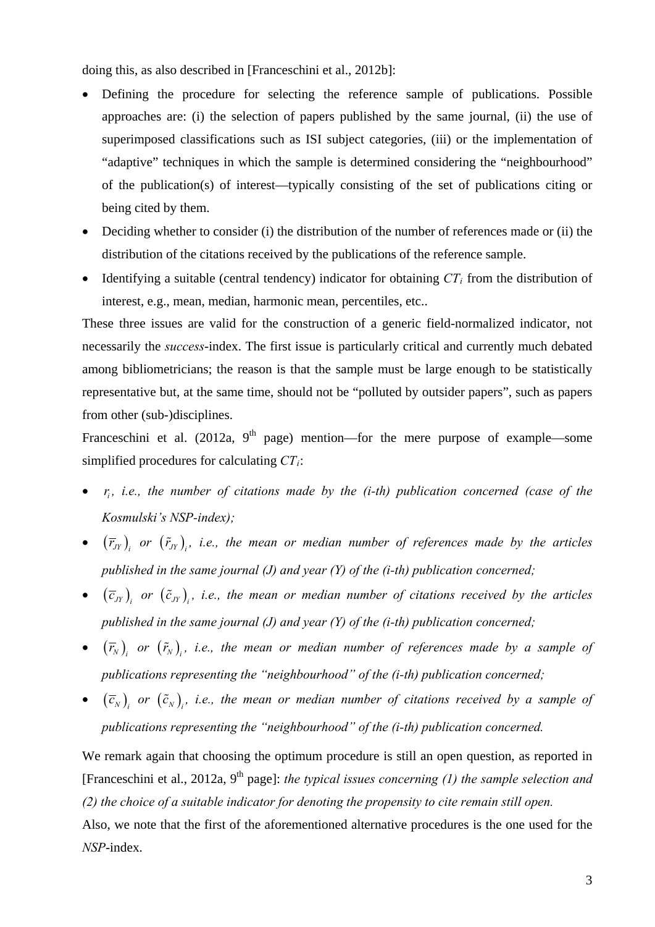doing this, as also described in [Franceschini et al., 2012b]:

- Defining the procedure for selecting the reference sample of publications. Possible approaches are: (i) the selection of papers published by the same journal, (ii) the use of superimposed classifications such as ISI subject categories, (iii) or the implementation of "adaptive" techniques in which the sample is determined considering the "neighbourhood" of the publication(s) of interest—typically consisting of the set of publications citing or being cited by them.
- Deciding whether to consider (i) the distribution of the number of references made or (ii) the distribution of the citations received by the publications of the reference sample.
- $\bullet$  Identifying a suitable (central tendency) indicator for obtaining  $CT<sub>i</sub>$  from the distribution of interest, e.g., mean, median, harmonic mean, percentiles, etc..

These three issues are valid for the construction of a generic field-normalized indicator, not necessarily the *success*-index. The first issue is particularly critical and currently much debated among bibliometricians; the reason is that the sample must be large enough to be statistically representative but, at the same time, should not be "polluted by outsider papers", such as papers from other (sub-)disciplines.

Franceschini et al. (2012a,  $9<sup>th</sup>$  page) mention—for the mere purpose of example—some simplified procedures for calculating *CTi*:

- $r_i$ , *i.e., the number of citations made by the (i-th) publication concerned (case of the Kosmulski's NSP-index);*
- $(\bar{r}_{JY})$  *or*  $(\tilde{r}_{JY})$ , *i.e., the mean or median number of references made by the articles published in the same journal (J) and year (Y) of the (i-th) publication concerned;*
- $(\bar{c}_{JY})$  *or*  $(\tilde{c}_{JY})$ , *i.e., the mean or median number of citations received by the articles published in the same journal (J) and year (Y) of the (i-th) publication concerned;*
- $(\bar{r}_{\scriptscriptstyle N})^{}_i$  or  $(\tilde{r}_{\scriptscriptstyle N})^{}_i$ , i.e., the mean or median number of references made by a sample of *publications representing the "neighbourhood" of the (i-th) publication concerned;*
- $(\bar{c}_N)$ , or  $(\tilde{c}_N)$ , *i.e., the mean or median number of citations received by a sample of publications representing the "neighbourhood" of the (i-th) publication concerned.*

We remark again that choosing the optimum procedure is still an open question, as reported in [Franceschini et al., 2012a, 9<sup>th</sup> page]: *the typical issues concerning (1) the sample selection and (2) the choice of a suitable indicator for denoting the propensity to cite remain still open.* Also, we note that the first of the aforementioned alternative procedures is the one used for the *NSP*-index.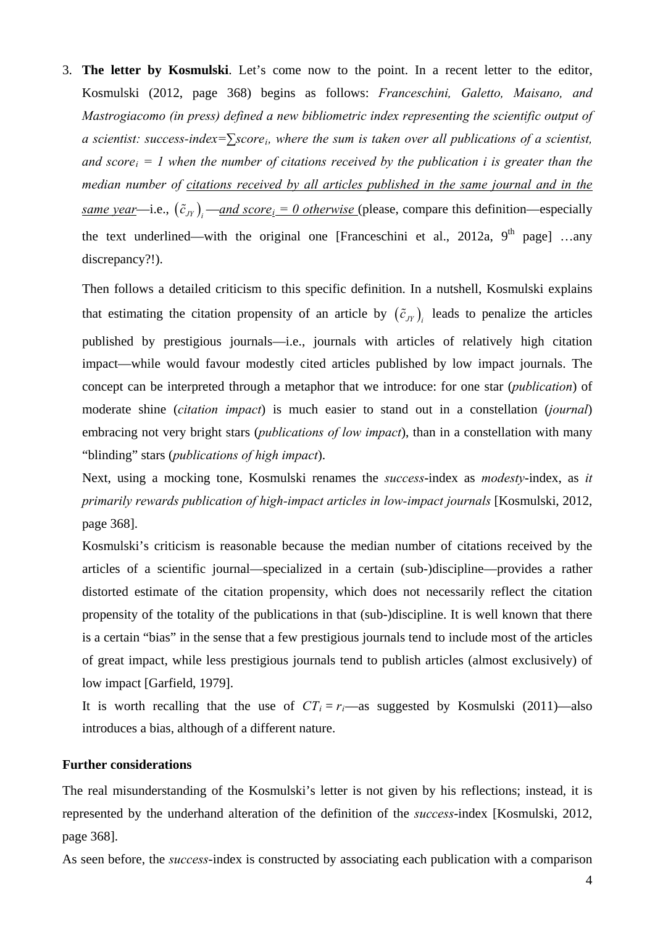3. **The letter by Kosmulski**. Let's come now to the point. In a recent letter to the editor, Kosmulski (2012, page 368) begins as follows: *Franceschini, Galetto, Maisano, and Mastrogiacomo (in press) defined a new bibliometric index representing the scientific output of a scientist: success-index=∑scorei, where the sum is taken over all publications of a scientist, and score*<sub>i</sub> = 1 when the number of citations received by the publication i is greater than the *median number of citations received by all articles published in the same journal and in the same year*—i.e.,  $(\tilde{c}_{JY})$ <sub>*i*</sub> —*and score*<sub>*i*</sub> = 0 otherwise (please, compare this definition—especially the text underlined—with the original one [Franceschini et al., 2012a,  $9^{th}$  page] ...any discrepancy?!).

Then follows a detailed criticism to this specific definition. In a nutshell, Kosmulski explains that estimating the citation propensity of an article by  $(\tilde{c}_{N})$ , leads to penalize the articles published by prestigious journals—i.e., journals with articles of relatively high citation impact—while would favour modestly cited articles published by low impact journals. The concept can be interpreted through a metaphor that we introduce: for one star (*publication*) of moderate shine (*citation impact*) is much easier to stand out in a constellation (*journal*) embracing not very bright stars (*publications of low impact*), than in a constellation with many "blinding" stars (*publications of high impact*).

Next, using a mocking tone, Kosmulski renames the *success*-index as *modesty*-index, as *it primarily rewards publication of high-impact articles in low-impact journals* [Kosmulski, 2012, page 368].

Kosmulski's criticism is reasonable because the median number of citations received by the articles of a scientific journal—specialized in a certain (sub-)discipline—provides a rather distorted estimate of the citation propensity, which does not necessarily reflect the citation propensity of the totality of the publications in that (sub-)discipline. It is well known that there is a certain "bias" in the sense that a few prestigious journals tend to include most of the articles of great impact, while less prestigious journals tend to publish articles (almost exclusively) of low impact [Garfield, 1979].

It is worth recalling that the use of  $CT_i = r_i$ —as suggested by Kosmulski (2011)—also introduces a bias, although of a different nature.

### **Further considerations**

The real misunderstanding of the Kosmulski's letter is not given by his reflections; instead, it is represented by the underhand alteration of the definition of the *success*-index [Kosmulski, 2012, page 368].

As seen before, the *success*-index is constructed by associating each publication with a comparison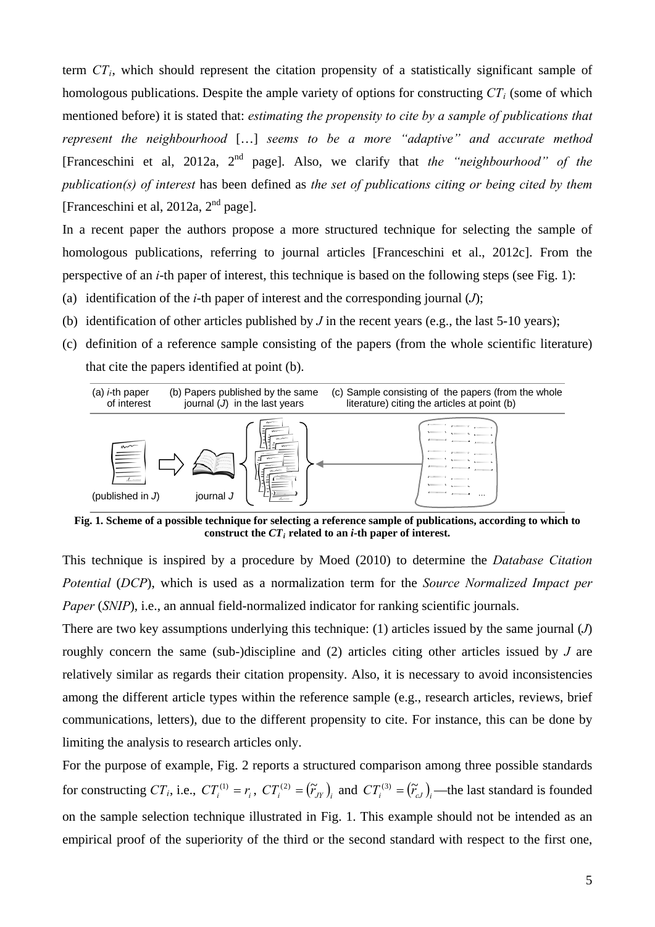term *CTi*, which should represent the citation propensity of a statistically significant sample of homologous publications. Despite the ample variety of options for constructing  $CT_i$  (some of which mentioned before) it is stated that: *estimating the propensity to cite by a sample of publications that represent the neighbourhood* […] *seems to be a more "adaptive" and accurate method*  [Franceschini et al, 2012a, 2nd page]. Also, we clarify that *the "neighbourhood" of the publication(s) of interest* has been defined as *the set of publications citing or being cited by them* [Franceschini et al, 2012a,  $2<sup>nd</sup>$  page].

In a recent paper the authors propose a more structured technique for selecting the sample of homologous publications, referring to journal articles [Franceschini et al., 2012c]. From the perspective of an *i*-th paper of interest, this technique is based on the following steps (see Fig. [1\):](#page-5-0) 

- (a) identification of the *i*-th paper of interest and the corresponding journal  $(J)$ ;
- (b) identification of other articles published by  $J$  in the recent years (e.g., the last 5-10 years);
- (c) definition of a reference sample consisting of the papers (from the whole scientific literature) that cite the papers identified at point (b).



**Fig. 1. Scheme of a possible technique for selecting a reference sample of publications, according to which to**  construct the  $CT_i$  related to an *i*-th paper of interest.

<span id="page-5-1"></span><span id="page-5-0"></span>This technique is inspired by a procedure by Moed (2010) to determine the *Database Citation Potential* (*DCP*), which is used as a normalization term for the *Source Normalized Impact per Paper* (*SNIP*), i.e., an annual field-normalized indicator for ranking scientific journals.

There are two key assumptions underlying this technique: (1) articles issued by the same journal (*J*) roughly concern the same (sub-)discipline and (2) articles citing other articles issued by *J* are relatively similar as regards their citation propensity. Also, it is necessary to avoid inconsistencies among the different article types within the reference sample (e.g., research articles, reviews, brief communications, letters), due to the different propensity to cite. For instance, this can be done by limiting the analysis to research articles only.

For the purpose of example, Fig. [2 reports a structured comparison among three possible standards](#page-6-0)  [for constructing](#page-6-0)  $CT_i$  $CT_i$ [, i.e.,](#page-6-0)  $CT_i^{(1)} = r_i$ ,  $CT_i^{(2)} = (\tilde{r}_{i} - r_{i})$  and  $CT_i^{(3)} = (\tilde{r}_{i} - r_{i})$  —the last standard is founded on the sample selection technique illustrated in Fig. 1.  [This example should not be intended as an](#page-5-1) empirical proof [of the superiority](#page-5-1) of the third or the second standard with respect to the first one,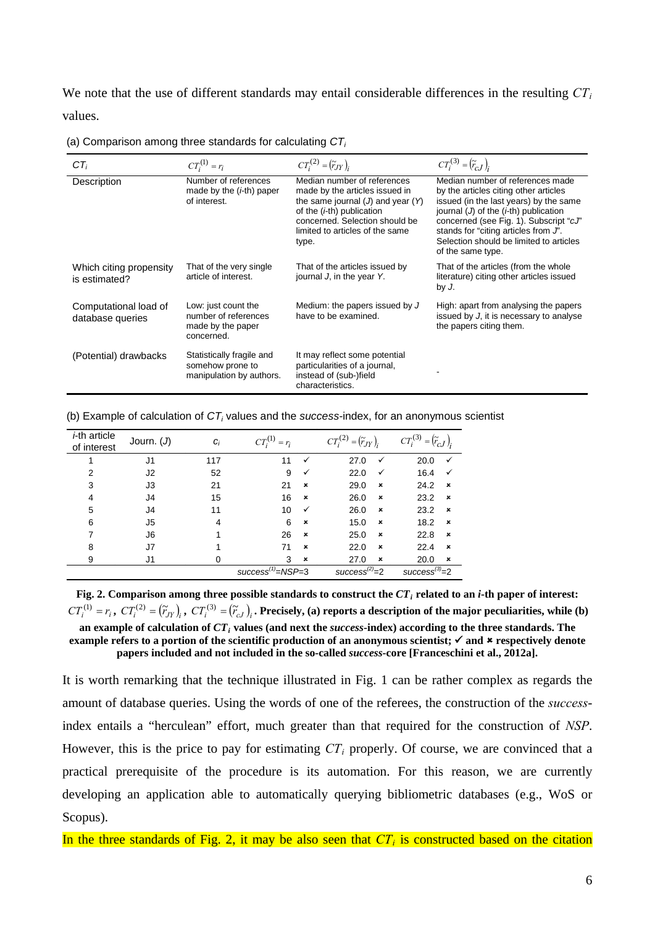We note that the use of different standards may entail considerable differences in the resulting  $CT<sub>i</sub>$ values.

 $CT_i^{(1)} = r_i$   $CT_i^{(2)} = (\tilde{r}_{JY})_i$   $CT_i^{(3)} = (\tilde{r}_{cJ})_i$ Description Number of references made by the (*i*-th) paper of interest. Median number of references made by the articles issued in the same journal (*J*) and year (*Y*) of the (*i*-th) publication concerned. Selection should be limited to articles of the same type. Median number of references made by the articles citing other articles issued (in the last years) by the same journal (*J*) of the (*i*-th) publication concerned (see Fig. 1). Subscript "*cJ*" stands for "citing articles from *J*". Selection should be limited to articles of the same type. Which citing propensity is estimated? That of the very single article of interest. That of the articles issued by journal *J*, in the year *Y*. That of the articles (from the whole literature) citing other articles issued by *J*. Computational load of database queries Low: just count the number of references made by the paper concerned. Medium: the papers issued by *J* have to be examined. High: apart from analysing the papers issued by *J*, it is necessary to analyse the papers citing them. (Potential) drawbacks Statistically fragile and somehow prone to manipulation by authors. It may reflect some potential particularities of a journal, instead of (sub-)field characteristics. -

(a) Comparison among three standards for calculating  $CT<sub>i</sub>$ 

|  |  |  |  |  |  | (b) Example of calculation of $CT_i$ values and the success-index, for an anonymous scientist |  |  |  |
|--|--|--|--|--|--|-----------------------------------------------------------------------------------------------|--|--|--|
|--|--|--|--|--|--|-----------------------------------------------------------------------------------------------|--|--|--|

| <i>i</i> -th article<br>of interest | Journ. $(J)$                                   | $C_i$    | $CT_i^{(1)}$<br>$=r_i$ |                           | $CT_i^{(2)}$<br>$=(\widetilde{r}_{JY})_i$ | $CT_i^{(3)}$<br>$=\left(\widetilde{r}_{cJ}\right)_i$ |
|-------------------------------------|------------------------------------------------|----------|------------------------|---------------------------|-------------------------------------------|------------------------------------------------------|
| 1                                   | J1                                             | 117      | 11                     | $\checkmark$              | 27.0<br>$\checkmark$                      | 20.0<br>$\checkmark$                                 |
| $\overline{2}$                      | J2                                             | 52       | 9                      | $\checkmark$              | 22.0<br>✓                                 | 16.4<br>$\checkmark$                                 |
| 3                                   | J3                                             | 21       | 21                     | $\boldsymbol{\mathsf{x}}$ | 29.0<br>$\boldsymbol{\mathsf{x}}$         | 24.2<br>$\boldsymbol{\mathsf{x}}$                    |
| $\overline{4}$                      | J4                                             | 15       | 16                     | $\boldsymbol{\mathsf{x}}$ | 26.0<br>$\boldsymbol{\mathsf{x}}$         | 23.2<br>$\boldsymbol{\mathsf{x}}$                    |
| 5                                   | J4                                             | 11       | 10                     | $\checkmark$              | 26.0<br>$\boldsymbol{\mathsf{x}}$         | 23.2<br>$\boldsymbol{\mathsf{x}}$                    |
| 6                                   | J5                                             | 4        | 6                      | $\boldsymbol{\mathsf{x}}$ | 15.0<br>$\boldsymbol{\mathsf{x}}$         | 18.2<br>$\boldsymbol{\mathsf{x}}$                    |
| 7                                   | J6                                             | 1        | 26                     | $\boldsymbol{\mathsf{x}}$ | 25.0<br>$\boldsymbol{\mathsf{x}}$         | 22.8<br>$\boldsymbol{\mathsf{x}}$                    |
| 8                                   | J7                                             | 1        | 71                     | $\boldsymbol{\mathsf{x}}$ | 22.0<br>$\boldsymbol{\mathsf{x}}$         | 22.4<br>$\boldsymbol{\mathsf{x}}$                    |
| 9                                   | J1                                             | $\Omega$ | 3                      | $\pmb{\times}$            | 27.0<br>×                                 | 20.0<br>$\boldsymbol{\mathsf{x}}$                    |
|                                     | $success^{(1)} = NSP = 3$<br>$success^{(2)}=2$ |          |                        |                           |                                           |                                                      |

<span id="page-6-1"></span><span id="page-6-0"></span>Fig. 2. Comparison among three possible standards to construct the  $CT_i$  related to an *i*-th paper of interest:  $CT_i^{(1)} = r_i$ ,  $CT_i^{(2)} = (\tilde{r}_{i})$ ,  $CT_i^{(3)} = (\tilde{r}_{c})$ . Precisely, (a) reports a description of the major peculiarities, while (b) **an example of calculation of** *CTi* **values (and next the** *success***-index) according to the three standards. The example refers to a portion of the scientific production of an anonymous scientist;**  $\checkmark$  **and**  $\checkmark$  **respectively denote papers included and not included in the so-called** *success***-core [Franceschini et al., 2012a].** 

It is worth remarking that the technique illustrated in Fig. 1 [can be rather complex as regards the](#page-5-1)  amount of database queries. Using the words of one of the referees, the construction of the *success*index entails a "herculean" effort, much greater than that required for the construction of *NSP*. However, this is the price to [pay for estimating](#page-5-1)  $CT_i$  $CT_i$  properly[. Of course, we are convinced that a](#page-5-1) practical prerequisite of the procedure is its automation. For this reason, we are currently developing an application able to automatically querying bibliometric databases (e.g., WoS or [Scopus](#page-5-1)).

In the three standards of [Fig. 2](#page-6-1), it may be also seen that  $CT_i$  is constructed based on the citation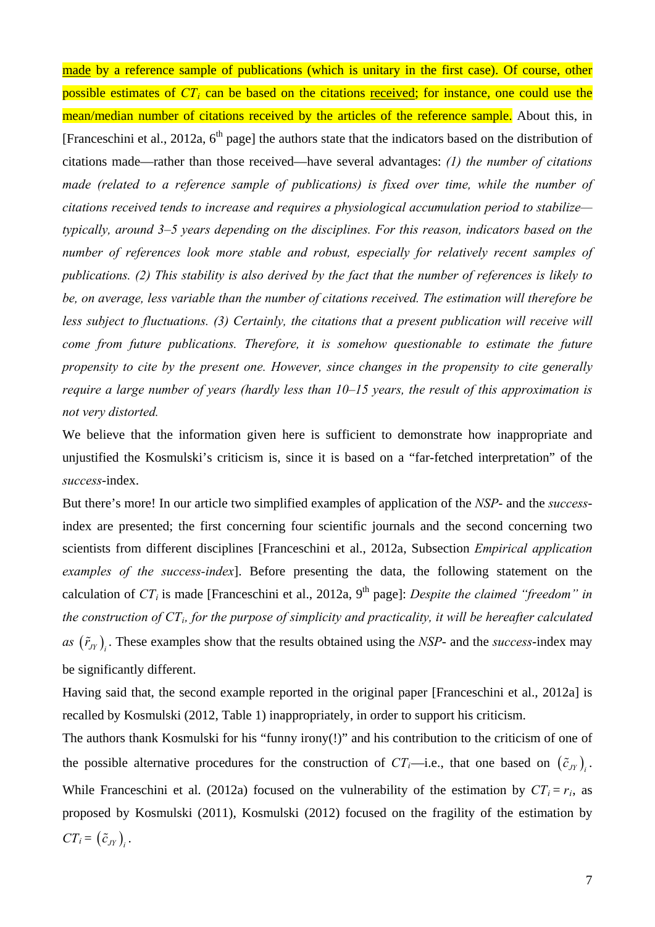made by a reference sample of publications (which is unitary in the first case). Of course, other possible estimates of *CT<sub>i</sub>* can be based on the citations received; for instance, one could use the mean/median number of citations received by the articles of the reference sample. About this, in [Franceschini et al., 2012a,  $6<sup>th</sup>$  page] the authors state that the indicators based on the distribution of citations made—rather than those received—have several advantages: *(1) the number of citations made (related to a reference sample of publications) is fixed over time, while the number of citations received tends to increase and requires a physiological accumulation period to stabilize typically, around 3–5 years depending on the disciplines. For this reason, indicators based on the number of references look more stable and robust, especially for relatively recent samples of publications. (2) This stability is also derived by the fact that the number of references is likely to be, on average, less variable than the number of citations received. The estimation will therefore be less subject to fluctuations. (3) Certainly, the citations that a present publication will receive will come from future publications. Therefore, it is somehow questionable to estimate the future propensity to cite by the present one. However, since changes in the propensity to cite generally require a large number of years (hardly less than 10–15 years, the result of this approximation is not very distorted.* 

We believe that the information given here is sufficient to demonstrate how inappropriate and unjustified the Kosmulski's criticism is, since it is based on a "far-fetched interpretation" of the *success*-index.

But there's more! In our article two simplified examples of application of the *NSP*- and the *success*index are presented; the first concerning four scientific journals and the second concerning two scientists from different disciplines [Franceschini et al., 2012a, Subsection *Empirical application examples of the success-index*]. Before presenting the data, the following statement on the calculation of  $CT_i$  is made [Franceschini et al., 2012a, 9<sup>th</sup> page]: *Despite the claimed "freedom" in the construction of CTi, for the purpose of simplicity and practicality, it will be hereafter calculated*  as  $(\tilde{r}_{JY})$ . These examples show that the results obtained using the *NSP*- and the *success*-index may be significantly different.

Having said that, the second example reported in the original paper [Franceschini et al., 2012a] is recalled by Kosmulski (2012, Table 1) inappropriately, in order to support his criticism.

The authors thank Kosmulski for his "funny irony(!)" and his contribution to the criticism of one of the possible alternative procedures for the construction of  $CT_i$ —i.e., that one based on  $(\tilde{c}_N)$ . While Franceschini et al. (2012a) focused on the vulnerability of the estimation by  $CT_i = r_i$ , as proposed by Kosmulski (2011), Kosmulski (2012) focused on the fragility of the estimation by  $CT_i = \left(\tilde{c}_{JY}\right)_i$ .